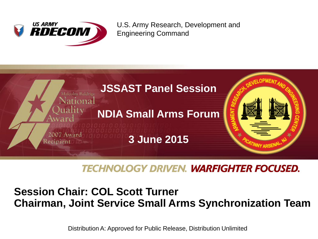

U.S. Army Research, Development and Engineering Command



**TECHNOLOGY DRIVEN. WARFIGHTER FOCUSED.** 

# **Session Chair: COL Scott Turner Chairman, Joint Service Small Arms Synchronization Team**

Distribution A: Approved for Public Release, Distribution Unlimited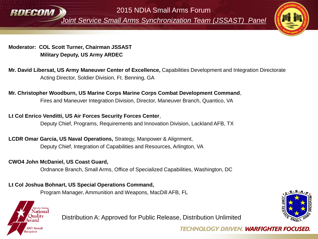

2015 NDIA Small Arms Forum

*Joint Service Small Arms Synchronization Team (JSSAST) Panel*



**Moderator: COL Scott Turner, Chairman JSSAST Military Deputy, US Army ARDEC**

**Mr. David Libersat, US Army Maneuver Center of Excellence,** Capabilities Development and Integration Directorate Acting Director, Soldier Division, Ft. Benning, GA

## **Mr. Christopher Woodburn, US Marine Corps Marine Corps Combat Development Command**,

Fires and Maneuver Integration Division, Director, Maneuver Branch, Quantico, VA

#### **Lt Col Enrico Venditti, US Air Forces Security Forces Center**,

Deputy Chief, Programs, Requirements and Innovation Division, Lackland AFB, TX

#### **LCDR Omar Garcia, US Naval Operations,** Strategy, Manpower & Alignment, Deputy Chief, Integration of Capabilities and Resources, Arlington, VA

#### **CWO4 John McDaniel, US Coast Guard,**

Ordnance Branch, Small Arms, Office of Specialized Capabilities, Washington, DC

### **Lt Col Joshua Bohnart, US Special Operations Command,**

Program Manager, Ammunition and Weapons, MacDill AFB, FL



Distribution A: Approved for Public Release, Distribution Unlimited



**TECHNOLOGY DRIVEN. WARFIGHTER FOCUSED.**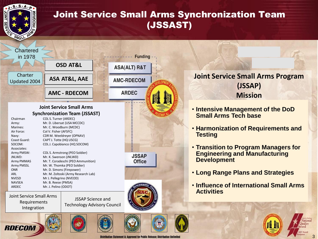

# Why a Technology Plan (JSSAST)  $\sim$ Joint Service Small Arms Synchronization Team



**Joint Service Small Arms Program (JSSAP) Mission**

- **Intensive Management of the DoD Small Arms Tech base**
- **Harmonization of Requirements and Testing**
- **Transition to Program Managers for Engineering and Manufacturing Development**
- **Long Range Plans and Strategies**
- **Influence of International Small Arms Activities**



Distribution Statement A: Approved for Public Release: Distribution Unlimite